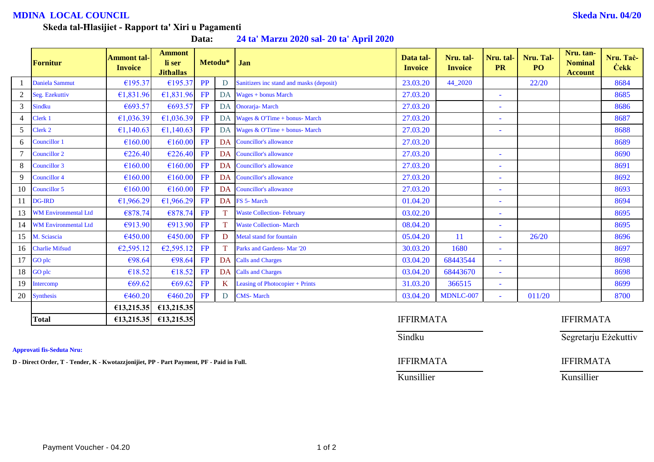## **MDINA LOCAL COUNCIL Skeda Nru. 04/20**

### **Skeda tal-Ħlasijiet - Rapport ta' Xiri u Pagamenti**

**Data: 24 ta' Marzu 2020 sal- 20 ta' April 2020**

|    | <b>Fornitur</b>             | <b>Ammont tal-</b><br><b>Invoice</b> | <b>Ammont</b><br>li ser<br><b>Jithallas</b> | Metodu*   |              | Jan                                      | Data tal-<br><b>Invoice</b> | Nru. tal-<br><b>Invoice</b> | Nru. tal-<br><b>PR</b> | Nru. Tal-<br>PO <sub>1</sub> | Nru. tan-<br><b>Nominal</b><br><b>Account</b> | Nru. Tač-<br><b>Cekk</b> |
|----|-----------------------------|--------------------------------------|---------------------------------------------|-----------|--------------|------------------------------------------|-----------------------------|-----------------------------|------------------------|------------------------------|-----------------------------------------------|--------------------------|
|    | Daniela Sammut              | €195.37                              | €195.37                                     | <b>PP</b> | D            | Sanitizers inc stand and masks (deposit) | 23.03.20                    | 44_2020                     |                        | 22/20                        |                                               | 8684                     |
|    | Seg. Ezekuttiv              | €1,831.96                            | £1,831.96                                   | FP        |              | DA Wages + bonus March                   | 27.03.20                    |                             | ٠                      |                              |                                               | 8685                     |
| 3  | <b>Sindku</b>               | €693.57                              | €693.57                                     | FP        | DA           | Onorarja-March                           | 27.03.20                    |                             | $\blacksquare$         |                              |                                               | 8686                     |
|    | Clerk 1                     | €1,036.39                            | €1,036.39                                   | FP        | <b>DA</b>    | Wages & O'Time + bonus- March            | 27.03.20                    |                             | ٠                      |                              |                                               | 8687                     |
| 5  | Clerk 2                     | €1,140.63                            | €1,140.63                                   | FP        | DA           | Wages & O'Time + bonus- March            | 27.03.20                    |                             | ٠                      |                              |                                               | 8688                     |
| 6  | Councillor 1                | €160.00                              | €160.00                                     | FP        |              | DA Councillor's allowance                | 27.03.20                    |                             |                        |                              |                                               | 8689                     |
|    | Councillor 2                | €226.40                              | €226.40                                     | FP        | <b>DA</b>    | <b>Councillor's allowance</b>            | 27.03.20                    |                             | $\blacksquare$         |                              |                                               | 8690                     |
| 8  | Councillor 3                | €160.00                              | €160.00                                     | FP        | DA           | <b>Councillor's allowance</b>            | 27.03.20                    |                             | ۰                      |                              |                                               | 8691                     |
|    | Councillor 4                | €160.00                              | €160.00                                     | FP        |              | DA Councillor's allowance                | 27.03.20                    |                             | $\equiv$               |                              |                                               | 8692                     |
| 10 | Councillor 5                | €160.00                              | €160.00                                     | FP        |              | DA Councillor's allowance                | 27.03.20                    |                             | ٠                      |                              |                                               | 8693                     |
|    | <b>DG-IRD</b>               | €1,966.29                            | £1,966.29                                   | FP        |              | DA FS 5- March                           | 01.04.20                    |                             | u,                     |                              |                                               | 8694                     |
| 13 | <b>WM Environmental Ltd</b> | €878.74                              | €878.74                                     | FP        | T.           | <b>Waste Collection-February</b>         | 03.02.20                    |                             | $\equiv$               |                              |                                               | 8695                     |
|    | 14 WM Environmental Ltd     | €913.90                              | €913.90                                     | FP        |              | <b>Waste Collection- March</b>           | 08.04.20                    |                             | ٠                      |                              |                                               | 8695                     |
|    | 15 M. Sciascia              | €450.00                              | €450.00                                     | FP        | D            | Metal stand for fountain                 | 05.04.20                    | 11                          | ÷                      | 26/20                        |                                               | 8696                     |
| 16 | <b>Charlie Mifsud</b>       | €2,595.12                            | E2,595.12                                   | FP        |              | Parks and Gardens- Mar '20               | 30.03.20                    | 1680                        | $\sim$                 |                              |                                               | 8697                     |
| 17 | <b>GO</b> plc               | €98.64                               | €98.64                                      | FP        | DA           | <b>Calls and Charges</b>                 | 03.04.20                    | 68443544                    | $\equiv$               |                              |                                               | 8698                     |
| 18 | <b>GO</b> plc               | €18.52                               | €18.52                                      | FP        | <b>DA</b>    | <b>Calls and Charges</b>                 | 03.04.20                    | 68443670                    | ÷                      |                              |                                               | 8698                     |
| 19 | Intercomp                   | €69.62                               | €69.62                                      | FP        | $\mathbf{K}$ | Leasing of Photocopier + Prints          | 31.03.20                    | 366515                      | ٠                      |                              |                                               | 8699                     |
| 20 | <b>Synthesis</b>            | €460.20                              | €460.20                                     | FP        | D            | <b>CMS-March</b>                         | 03.04.20                    | MDNLC-007                   | ÷.                     | 011/20                       |                                               | 8700                     |
|    |                             | €13,215.35                           | €13,215.35                                  |           |              |                                          |                             |                             |                        |                              |                                               |                          |
|    | <b>Total</b>                | £13,215.35                           | £13,215.35                                  |           |              |                                          | <b>IFFIRMATA</b>            |                             |                        |                              | <b>IFFIRMATA</b>                              |                          |

**Approvati fis-Seduta Nru:**

**D** - Direct Order, T - Tender, K - Kwotazzjonijiet, PP - Part Payment, PF - Paid in Full. **IFFIRMATA** IFFIRMATA

Kunsillier Kunsillier

Sindku Segretarju Eżekuttiv